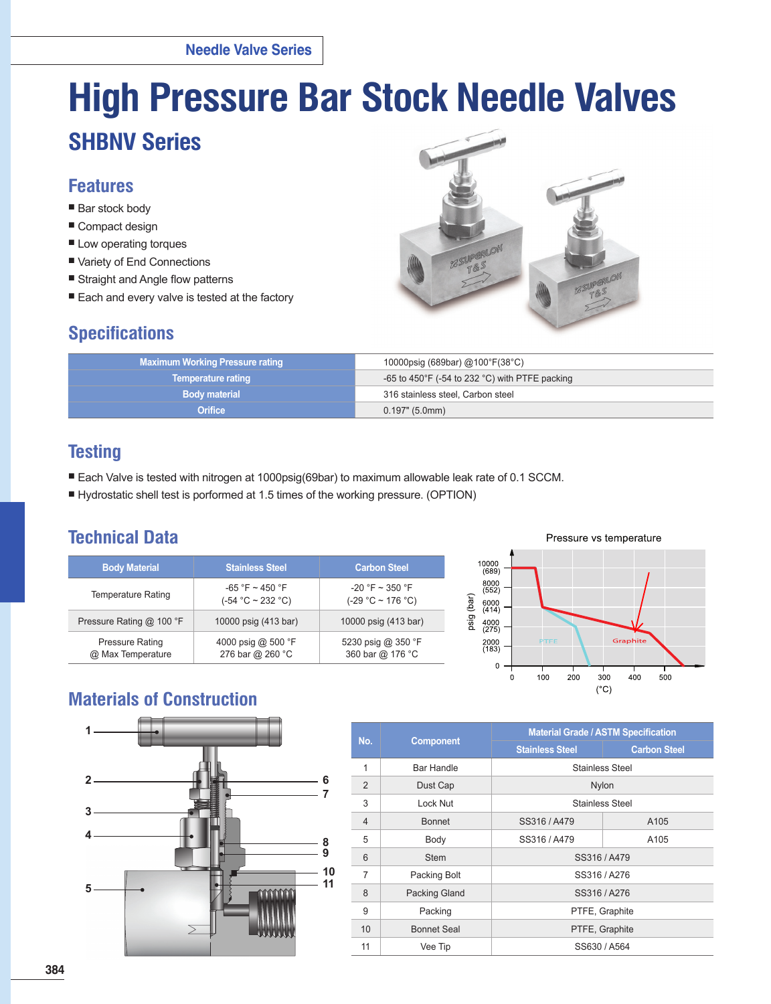# **High Pressure Bar Stock Needle Valves**

# **SHBNV Series**

## **Features**

- Bar stock body
- Compact design
- Low operating torques
- Variety of End Connections
- Straight and Angle flow patterns
- Each and every valve is tested at the factory

## **Specifications**



| 10000psig (689bar) @100°F(38°C)                                   |
|-------------------------------------------------------------------|
| -65 to 450 $\degree$ F (-54 to 232 $\degree$ C) with PTFE packing |
| 316 stainless steel, Carbon steel                                 |
| 0.197" (5.0mm)                                                    |
|                                                                   |

# **Testing**

- Each Valve is tested with nitrogen at 1000psig(69bar) to maximum allowable leak rate of 0.1 SCCM.
- Hydrostatic shell test is porformed at 1.5 times of the working pressure. (OPTION)

# **Technical Data**

| <b>Body Material</b>                        | <b>Stainless Steel</b>                      | <b>Carbon Steel</b>                         |  |  |  |
|---------------------------------------------|---------------------------------------------|---------------------------------------------|--|--|--|
| Temperature Rating                          | $-65$ °F ~ 450 °F<br>$(-54 °C \sim 232 °C)$ | $-20$ °F ~ 350 °F<br>$(-29 °C \sim 176 °C)$ |  |  |  |
| Pressure Rating @ 100 °F                    | 10000 psig (413 bar)                        | 10000 psig (413 bar)                        |  |  |  |
| <b>Pressure Rating</b><br>@ Max Temperature | 4000 psig @ 500 °F<br>276 bar @ 260 °C      | 5230 psig @ 350 °F<br>360 bar @ 176 °C      |  |  |  |



# **Materials of Construction**



|                |                      | <b>Material Grade / ASTM Specification</b> |                     |  |  |  |  |  |  |
|----------------|----------------------|--------------------------------------------|---------------------|--|--|--|--|--|--|
| No.            | <b>Component</b>     | <b>Stainless Steel</b>                     | <b>Carbon Steel</b> |  |  |  |  |  |  |
| 1              | Bar Handle           | Stainless Steel                            |                     |  |  |  |  |  |  |
| $\overline{2}$ | Dust Cap             | Nylon                                      |                     |  |  |  |  |  |  |
| 3              | Lock Nut             | Stainless Steel                            |                     |  |  |  |  |  |  |
| 4              | <b>Bonnet</b>        | SS316/A479                                 | A105                |  |  |  |  |  |  |
| 5              | Body                 | SS316/A479                                 | A105                |  |  |  |  |  |  |
| 6              | <b>Stem</b>          | SS316/A479                                 |                     |  |  |  |  |  |  |
| $\overline{7}$ | Packing Bolt         | SS316/A276                                 |                     |  |  |  |  |  |  |
| 8              | <b>Packing Gland</b> | SS316/A276                                 |                     |  |  |  |  |  |  |
| 9              | Packing              | PTFE, Graphite                             |                     |  |  |  |  |  |  |
| 10             | Bonnet Seal          | PTFE, Graphite                             |                     |  |  |  |  |  |  |
| 11             | Vee Tip              | SS630 / A564                               |                     |  |  |  |  |  |  |